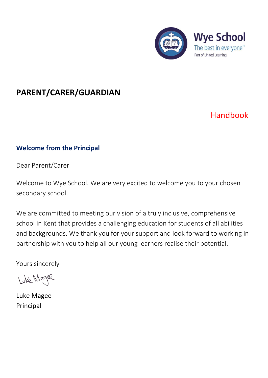

# **PARENT/CARER/GUARDIAN**

# Handbook

# **Welcome from the Principal**

Dear Parent/Carer

Welcome to Wye School. We are very excited to welcome you to your chosen secondary school.

We are committed to meeting our vision of a truly inclusive, comprehensive school in Kent that provides a challenging education for students of all abilities and backgrounds. We thank you for your support and look forward to working in partnership with you to help all our young learners realise their potential.

Yours sincerely

Luke Magee

Luke Magee Principal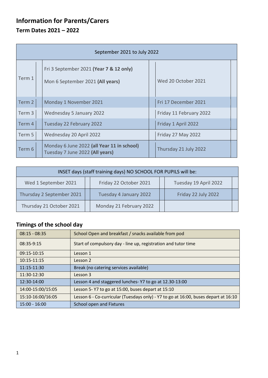# **Information for Parents/Carers Term Dates 2021 – 2022**

| September 2021 to July 2022 |  |                                                                               |  |                         |  |  |  |
|-----------------------------|--|-------------------------------------------------------------------------------|--|-------------------------|--|--|--|
| Term 1                      |  | Fri 3 September 2021 (Year 7 & 12 only)<br>Mon 6 September 2021 (All years)   |  | Wed 20 October 2021     |  |  |  |
| Term 2                      |  | Monday 1 November 2021                                                        |  | Fri 17 December 2021    |  |  |  |
| Term 3                      |  | Wednesday 5 January 2022                                                      |  | Friday 11 February 2022 |  |  |  |
| Term 4                      |  | Tuesday 22 February 2022                                                      |  | Friday 1 April 2022     |  |  |  |
| Term 5                      |  | Wednesday 20 April 2022                                                       |  | Friday 27 May 2022      |  |  |  |
| Term 6                      |  | Monday 6 June 2022 (all Year 11 in school)<br>Tuesday 7 June 2022 (All years) |  | Thursday 21 July 2022   |  |  |  |

| INSET days (staff training days) NO SCHOOL FOR PUPILS will be: |                         |                       |  |  |  |  |  |  |
|----------------------------------------------------------------|-------------------------|-----------------------|--|--|--|--|--|--|
| Wed 1 September 2021                                           | Friday 22 October 2021  | Tuesday 19 April 2022 |  |  |  |  |  |  |
| Thursday 2 September 2021                                      | Tuesday 4 January 2022  | Friday 22 July 2022   |  |  |  |  |  |  |
| Thursday 21 October 2021                                       | Monday 21 February 2022 |                       |  |  |  |  |  |  |

# **Timings of the school day**

| $08:15 - 08:35$   | School Open and breakfast / snacks available from pod                               |
|-------------------|-------------------------------------------------------------------------------------|
| 08:35-9:15        | Start of compulsory day - line up, registration and tutor time                      |
| 09:15-10:15       | Lesson 1                                                                            |
| 10:15-11:15       | Lesson 2                                                                            |
| 11:15-11:30       | Break (no catering services available)                                              |
| 11:30-12:30       | Lesson 3                                                                            |
| 12:30-14:00       | Lesson 4 and staggered lunches-Y7 to go at 12.30-13:00                              |
| 14:00-15:00/15:05 | Lesson 5-Y7 to go at 15:00, buses depart at 15:10                                   |
| 15:10-16:00/16:05 | Lesson 6 - Co-curricular (Tuesdays only) - Y7 to go at 16:00, buses depart at 16:10 |
| $15:00 - 16:00$   | School open and Fixtures                                                            |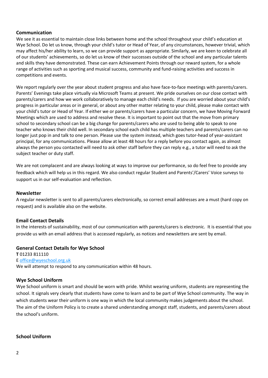#### **Communication**

We see it as essential to maintain close links between home and the school throughout your child's education at Wye School. Do let us know, through your child's tutor or Head of Year, of any circumstances, however trivial, which may affect his/her ability to learn, so we can provide support as appropriate. Similarly, we are keen to celebrate all of our students' achievements, so do let us know of their successes outside of the school and any particular talents and skills they have demonstrated. These can earn Achievement Points through our reward system, for a whole range of activities such as sporting and musical success, community and fund-raising activities and success in competitions and events.

We report regularly over the year about student progress and also have face-to-face meetings with parents/carers. Parents' Evenings take place virtually via Microsoft Teams at present. We pride ourselves on our close contact with parents/carers and how we work collaboratively to manage each child's needs. If you are worried about your child's progress in particular areas or in general, or about any other matter relating to your child, please make contact with your child's tutor or Head of Year. If either we or parents/carers have a particular concern, we have Moving Forward Meetings which are used to address and resolve these. It is important to point out that the move from primary school to secondary school can be a big change for parents/carers who are used to being able to speak to one teacher who knows their child well. In secondary school each child has multiple teachers and parents/carers can no longer just pop in and talk to one person. Please use the system instead, which goes tutor-head of year-assistant principal, for any communications. Please allow at least 48 hours for a reply before you contact again, as almost always the person you contacted will need to ask other staff before they can reply e.g., a tutor will need to ask the subject teacher or duty staff.

We are not complacent and are always looking at ways to improve our performance, so do feel free to provide any feedback which will help us in this regard. We also conduct regular Student and Parents'/Carers' Voice surveys to support us in our self-evaluation and reflection.

## **Newsletter**

A regular newsletter is sent to all parents/carers electronically, so correct email addresses are a must (hard copy on request) and is available also on the website.

#### **Email Contact Details**

In the interests of sustainability, most of our communication with parents/carers is electronic. It is essential that you provide us with an email address that is accessed regularly, as notices and newsletters are sent by email.

#### **General Contact Details for Wye School**

**T** 01233 811110 E [office@wyeschool.org.uk](mailto:office@wyeschool.org.uk) We will attempt to respond to any communication within 48 hours.

#### **Wye School Uniform**

Wye School uniform is smart and should be worn with pride. Whilst wearing uniform, students are representing the school. It signals very clearly that students have come to learn and to be part of Wye School community. The way in which students wear their uniform is one way in which the local community makes judgements about the school. The aim of the Uniform Policy is to create a shared understanding amongst staff, students, and parents/carers about the school's uniform.

#### **School Uniform**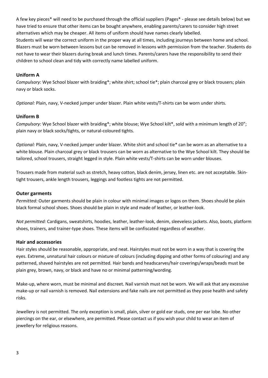A few key pieces\* will need to be purchased through the official suppliers (Pages\* - please see details below) but we have tried to ensure that other items can be bought anywhere, enabling parents/carers to consider high street alternatives which may be cheaper. All items of uniform should have names clearly labelled. Students will wear the correct uniform in the proper way at all times, including journeys between home and school. Blazers must be worn between lessons but can be removed in lessons with permission from the teacher. Students do not have to wear their blazers during break and lunch times. Parents/carers have the responsibility to send their children to school clean and tidy with correctly name labelled uniform.

# **Uniform A**

*Compulsory:* Wye School blazer with braiding\*; white shirt; school tie\*; plain charcoal grey or black trousers; plain navy or black socks.

*Optional:* Plain, navy, V-necked jumper under blazer. Plain white vests/T-shirts can be worn under shirts.

# **Uniform B**

*Compulsory:* Wye School blazer with braiding\*; white blouse; Wye School kilt\*, sold with a minimum length of 20"; plain navy or black socks/tights, or natural-coloured tights.

*Optional:* Plain, navy, V-necked jumper under blazer. White shirt and school tie\* can be worn as an alternative to a white blouse. Plain charcoal grey or black trousers can be worn as alternative to the Wye School kilt. They should be tailored, school trousers, straight legged in style. Plain white vests/T-shirts can be worn under blouses.

Trousers made from material such as stretch, heavy cotton, black denim, jersey, linen etc. are not acceptable. Skintight trousers, ankle length trousers, leggings and footless tights are not permitted.

## **Outer garments**

*Permitted:* Outer garments should be plain in colour with minimal images or logos on them. Shoes should be plain black formal school shoes. Shoes should be plain in style and made of leather, or leather-look.

*Not permitted:* Cardigans, sweatshirts, hoodies, leather, leather-look, denim, sleeveless jackets. Also, boots, platform shoes, trainers, and trainer-type shoes. These items will be confiscated regardless of weather.

## **Hair and accessories**

Hair styles should be reasonable, appropriate, and neat. Hairstyles must not be worn in a way that is covering the eyes. Extreme, unnatural hair colours or mixture of colours (including dipping and other forms of colouring) and any patterned, shaved hairstyles are not permitted. Hair bands and headscarves/hair coverings/wraps/beads must be plain grey, brown, navy, or black and have no or minimal patterning/wording.

Make-up, where worn, must be minimal and discreet. Nail varnish must not be worn. We will ask that any excessive make-up or nail varnish is removed. Nail extensions and fake nails are not permitted as they pose health and safety risks.

Jewellery is not permitted. The only exception is small, plain, silver or gold ear studs, one per ear lobe. No other piercings on the ear, or elsewhere, are permitted. Please contact us if you wish your child to wear an item of jewellery for religious reasons.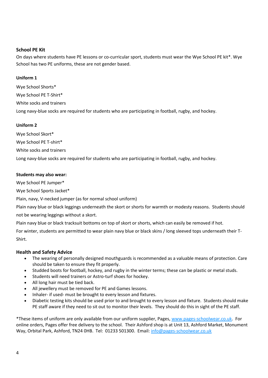# **School PE Kit**

On days where students have PE lessons or co-curricular sport, students must wear the Wye School PE kit\*. Wye School has two PE uniforms, these are not gender based.

#### **Uniform 1**

Wye School Shorts\* Wye School PE T-Shirt\* White socks and trainers Long navy-blue socks are required for students who are participating in football, rugby, and hockey.

#### **Uniform 2**

Wye School Skort\*

Wye School PE T-shirt\*

White socks and trainers

Long navy-blue socks are required for students who are participating in football, rugby, and hockey.

#### **Students may also wear:**

Wye School PE Jumper\*

Wye School Sports Jacket\*

Plain, navy, V-necked jumper (as for normal school uniform)

Plain navy blue or black leggings underneath the skort or shorts for warmth or modesty reasons. Students should not be wearing leggings without a skort.

Plain navy blue or black tracksuit bottoms on top of skort or shorts, which can easily be removed if hot.

For winter, students are permitted to wear plain navy blue or black skins / long sleeved tops underneath their T-Shirt.

## **Health and Safety Advice**

- The wearing of personally designed mouthguards is recommended as a valuable means of protection. Care should be taken to ensure they fit properly.
- Studded boots for football, hockey, and rugby in the winter terms; these can be plastic or metal studs.
- Students will need trainers or Astro-turf shoes for hockey.
- All long hair must be tied back.
- All jewellery must be removed for PE and Games lessons.
- Inhaler- if used- must be brought to every lesson and fixtures.
- Diabetic testing kits should be used prior to and brought to every lesson and fixture. Students should make PE staff aware if they need to sit out to monitor their levels. They should do this in sight of the PE staff.

\*These items of uniform are only available from our uniform supplier, Pages, [www.pages-schoolwear.co.uk.](http://www.pages-schoolwear.co.uk/) For online orders, Pages offer free delivery to the school. Their Ashford shop is at Unit 13, Ashford Market, Monument Way, Orbital Park, Ashford, TN24 0HB. Tel: 01233 501300. Email: [info@pages-schoolwear.co.uk](mailto:info@pages-schoolwear.co.uk)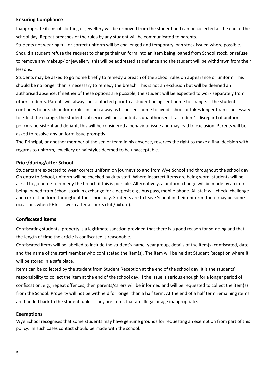## **Ensuring Compliance**

Inappropriate items of clothing or jewellery will be removed from the student and can be collected at the end of the school day. Repeat breaches of the rules by any student will be communicated to parents.

Students not wearing full or correct uniform will be challenged and temporary loan stock issued where possible. Should a student refuse the request to change their uniform into an item being loaned from School stock, or refuse to remove any makeup/ or jewellery, this will be addressed as defiance and the student will be withdrawn from their lessons.

Students may be asked to go home briefly to remedy a breach of the School rules on appearance or uniform. This should be no longer than is necessary to remedy the breach. This is not an exclusion but will be deemed an authorised absence. If neither of these options are possible, the student will be expected to work separately from other students. Parents will always be contacted prior to a student being sent home to change. If the student continues to breach uniform rules in such a way as to be sent home to avoid school or takes longer than is necessary to effect the change, the student's absence will be counted as unauthorised. If a student's disregard of uniform policy is persistent and defiant, this will be considered a behaviour issue and may lead to exclusion. Parents will be asked to resolve any uniform issue promptly.

The Principal, or another member of the senior team in his absence, reserves the right to make a final decision with regards to uniform, jewellery or hairstyles deemed to be unacceptable.

## **Prior/during/after School**

Students are expected to wear correct uniform on journeys to and from Wye School and throughout the school day. On entry to School, uniform will be checked by duty staff. Where incorrect items are being worn, students will be asked to go home to remedy the breach if this is possible. Alternatively, a uniform change will be made by an item being loaned from School stock in exchange for a deposit e.g., bus pass, mobile phone. All staff will check, challenge and correct uniform throughout the school day. Students are to leave School in their uniform (there may be some occasions when PE kit is worn after a sports club/fixture).

# **Confiscated items**

Confiscating students' property is a legitimate sanction provided that there is a good reason for so doing and that the length of time the article is confiscated is reasonable.

Confiscated items will be labelled to include the student's name, year group, details of the item(s) confiscated, date and the name of the staff member who confiscated the item(s). The item will be held at Student Reception where it will be stored in a safe place.

Items can be collected by the student from Student Reception at the end of the school day. It is the students' responsibility to collect the item at the end of the school day. If the issue is serious enough for a longer period of confiscation, e.g., repeat offences, then parents/carers will be informed and will be requested to collect the item(s) from the School. Property will not be withheld for longer than a half term. At the end of a half term remaining items are handed back to the student, unless they are items that are illegal or age inappropriate.

#### **Exemptions**

Wye School recognises that some students may have genuine grounds for requesting an exemption from part of this policy. In such cases contact should be made with the school.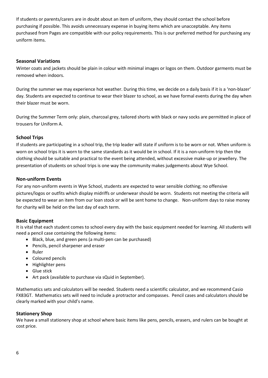If students or parents/carers are in doubt about an item of uniform, they should contact the school before purchasing if possible. This avoids unnecessary expense in buying items which are unacceptable. Any items purchased from Pages are compatible with our policy requirements. This is our preferred method for purchasing any uniform items.

# **Seasonal Variations**

Winter coats and jackets should be plain in colour with minimal images or logos on them. Outdoor garments must be removed when indoors.

During the summer we may experience hot weather. During this time, we decide on a daily basis if it is a 'non-blazer' day. Students are expected to continue to wear their blazer to school, as we have formal events during the day when their blazer must be worn.

During the Summer Term only: plain, charcoal grey, tailored shorts with black or navy socks are permitted in place of trousers for Uniform A.

# **School Trips**

If students are participating in a school trip, the trip leader will state if uniform is to be worn or not. When uniform is worn on school trips it is worn to the same standards as it would be in school. If it is a non-uniform trip then the clothing should be suitable and practical to the event being attended, without excessive make-up or jewellery. The presentation of students on school trips is one way the community makes judgements about Wye School.

## **Non-uniform Events**

For any non-uniform events in Wye School, students are expected to wear sensible clothing; no offensive pictures/logos or outfits which display midriffs or underwear should be worn. Students not meeting the criteria will be expected to wear an item from our loan stock or will be sent home to change. Non-uniform days to raise money for charity will be held on the last day of each term.

## **Basic Equipment**

It is vital that each student comes to school every day with the basic equipment needed for learning. All students will need a pencil case containing the following items:

- Black, blue, and green pens (a multi-pen can be purchased)
- Pencils, pencil sharpener and eraser
- Ruler
- Coloured pencils
- Highlighter pens
- Glue stick
- Art pack (available to purchase via sQuid in September).

Mathematics sets and calculators will be needed. Students need a scientific calculator, and we recommend Casio FX83GT. Mathematics sets will need to include a protractor and compasses. Pencil cases and calculators should be clearly marked with your child's name.

## **Stationery Shop**

We have a small stationery shop at school where basic items like pens, pencils, erasers, and rulers can be bought at cost price.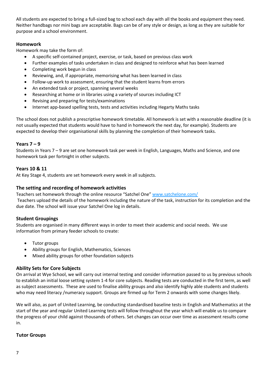All students are expected to bring a full-sized bag to school each day with all the books and equipment they need. Neither handbags nor mini bags are acceptable. Bags can be of any style or design, as long as they are suitable for purpose and a school environment.

# **Homework**

Homework may take the form of:

- A specific self-contained project, exercise, or task, based on previous class work
- Further examples of tasks undertaken in class and designed to reinforce what has been learned
- Completing work begun in class
- Reviewing, and, if appropriate, memorising what has been learned in class
- Follow-up work to assessment, ensuring that the student learns from errors
- An extended task or project, spanning several weeks
- Researching at home or in libraries using a variety of sources including ICT
- Revising and preparing for tests/examinations
- Internet app-based spelling tests, tests and activities including Hegarty Maths tasks

The school does not publish a prescriptive homework timetable. All homework is set with a reasonable deadline (it is not usually expected that students would have to hand in homework the next day, for example). Students are expected to develop their organisational skills by planning the completion of their homework tasks.

#### **Years 7 – 9**

Students in Years 7 – 9 are set one homework task per week in English, Languages, Maths and Science, and one homework task per fortnight in other subjects.

## **Years 10 & 11**

At Key Stage 4, students are set homework every week in all subjects.

#### **The setting and recording of homework activities**

Teachers set homework through the online resource "Satchel One" [www.satchelone.com/](http://www.satchelone.com/)

Teachers upload the details of the homework including the nature of the task, instruction for its completion and the due date. The school will issue your Satchel One log in details.

## **Student Groupings**

Students are organised in many different ways in order to meet their academic and social needs. We use information from primary feeder schools to create:

- Tutor groups
- Ability groups for English, Mathematics, Sciences
- Mixed ability groups for other foundation subjects

## **Ability Sets for Core Subjects**

On arrival at Wye School, we will carry out internal testing and consider information passed to us by previous schools to establish an initial loose setting system 1-4 for core subjects. Reading tests are conducted in the first term, as well as subject assessments. These are used to finalise ability groups and also identify highly able students and students who may need literacy /numeracy support. Groups are firmed up for Term 2 onwards with some changes likely.

We will also, as part of United Learning, be conducting standardised baseline tests in English and Mathematics at the start of the year and regular United Learning tests will follow throughout the year which will enable us to compare the progress of your child against thousands of others. Set changes can occur over time as assessment results come in.

#### **Tutor Groups**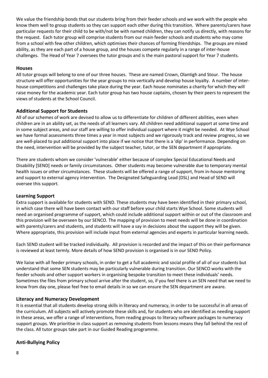We value the friendship bonds that our students bring from their feeder schools and we work with the people who know them well to group students so they can support each other during this transition. Where parents/carers have particular requests for their child to be with/not be with named children, they can notify us directly, with reasons for the request. Each tutor group will comprise students from our main feeder schools and students who may come from a school with few other children, which optimises their chances of forming friendships. The groups are mixed ability, as they are each part of a house group, and the houses compete regularly in a range of inter-house challenges. The Head of Year 7 oversees the tutor groups and is the main pastoral support for Year 7 students.

## **Houses**

All tutor groups will belong to one of our three houses. These are named Crown, Olantigh and Stour. The house structure will offer opportunities for the year groups to mix vertically and develop house loyalty. A number of interhouse competitions and challenges take place during the year. Each house nominates a charity for which they will raise money for the academic year. Each tutor group has two house captains, chosen by their peers to represent the views of students at the School Council.

# **Additional Support for Students**

All of our schemes of work are devised to allow us to differentiate for children of different abilities, even when children are in an ability set, as the needs of all learners vary. All children need additional support at some time and in some subject areas, and our staff are willing to offer individual support where it might be needed. At Wye School we have formal assessments three times a year in most subjects and we rigorously track and review progress, so we are well-placed to put additional support into place if we notice that there is a 'dip' in performance. Depending on the need, intervention will be provided by the subject teacher, tutor, or the SEN department if appropriate.

There are students whom we consider 'vulnerable' either because of complex Special Educational Needs and Disability [SEND] needs or family circumstances. Other students may become vulnerable due to temporary mental health issues or other circumstances. These students will be offered a range of support, from in-house mentoring and support to external agency intervention. The Designated Safeguarding Lead (DSL) and Head of SEND will oversee this support.

## **Learning Support**

Extra support is available for students with SEND. These students may have been identified in their primary school, in which case there will have been contact with our staff before your child starts Wye School. Some students will need an organised programme of support, which could include additional support within or out of the classroom and this provision will be overseen by our SENCO. The mapping of provision to meet needs will be done in coordination with parents/carers and students, and students will have a say in decisions about the support they will be given. Where appropriate, this provision will include input from external agencies and experts in particular learning needs.

Each SEND student will be tracked individually. All provision is recorded and the impact of this on their performance is reviewed at least termly. More details of how SEND provision is organised is in our SEND Policy.

We liaise with all feeder primary schools, in order to get a full academic and social profile of all of our students but understand that some SEN students may be particularly vulnerable during transition. Our SENCO works with the feeder schools and other support workers in organising bespoke transition to meet these individuals' needs. Sometimes the files from primary school arrive after the student, so, if you feel there is an SEN need that we need to know from day one, please feel free to email details in so we can ensure the SEN department are aware.

## **Literacy and Numeracy Development**

It is essential that all students develop strong skills in literacy and numeracy, in order to be successful in all areas of the curriculum. All subjects will actively promote these skills and, for students who are identified as needing support in these areas, we offer a range of interventions, from reading groups to literacy software packages to numeracy support groups. We prioritise in class support as removing students from lessons means they fall behind the rest of the class. All tutor groups take part in our Guided Reading programme.

# **Anti-Bullying Policy**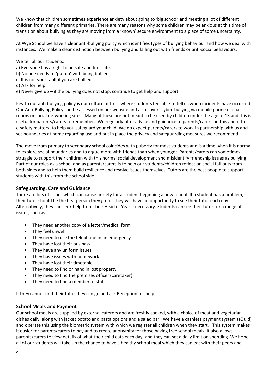We know that children sometimes experience anxiety about going to 'big school' and meeting a lot of different children from many different primaries. There are many reasons why some children may be anxious at this time of transition about bullying as they are moving from a 'known' secure environment to a place of some uncertainty.

At Wye School we have a clear anti-bullying policy which identifies types of bullying behaviour and how we deal with instances. We make a clear distinction between bullying and falling out with friends or anti-social behaviours.

- We tell all our students:
- a) Everyone has a right to be safe and feel safe.
- b) No one needs to 'put up' with being bullied.
- c) It is not your fault if you are bullied.
- d) Ask for help.
- e) Never give up if the bullying does not stop, continue to get help and support.

Key to our anti bullying policy is our culture of trust where students feel able to tell us when incidents have occurred. Our Anti-Bullying Policy can be accessed on our website and also covers cyber-bullying via mobile phone or chat rooms or social networking sites. Many of these are not meant to be used by children under the age of 13 and this is useful for parents/carers to remember. We regularly offer advice and guidance to parents/carers on this and other e-safety matters, to help you safeguard your child. We do expect parents/carers to work in partnership with us and set boundaries at home regarding use and put in place the privacy and safeguarding measures we recommend.

The move from primary to secondary school coincides with puberty for most students and is a time when it is normal to explore social boundaries and to argue more with friends than when younger. Parents/carers can sometimes struggle to support their children with this normal social development and misidentify friendship issues as bullying. Part of our roles as a school and as parents/carers is to help our students/children reflect on social fall outs from both sides and to help them build resilience and resolve issues themselves. Tutors are the best people to support students with this from the school side.

#### **Safeguarding, Care and Guidance**

There are lots of issues which can cause anxiety for a student beginning a new school. If a student has a problem, their tutor should be the first person they go to. They will have an opportunity to see their tutor each day. Alternatively, they can seek help from their Head of Year if necessary. Students can see their tutor for a range of issues, such as:

- They need another copy of a letter/medical form
- They feel unwell
- They need to use the telephone in an emergency
- They have lost their bus pass
- They have any uniform issues
- They have issues with homework
- They have lost their timetable
- They need to find or hand in lost property
- They need to find the premises officer (caretaker)
- They need to find a member of staff

If they cannot find their tutor they can go and ask Reception for help.

#### **School Meals and Payment**

Our school meals are supplied by external caterers and are freshly cooked, with a choice of meat and vegetarian dishes daily, along with jacket potato and pasta options and a salad bar. We have a cashless payment system (sQuid) and operate this using the biometric system with which we register all children when they start. This system makes it easier for parents/carers to pay and to create anonymity for those having free school meals. It also allows parents/carers to view details of what their child eats each day, and they can set a daily limit on spending. We hope all of our students will take up the chance to have a healthy school meal which they can eat with their peers and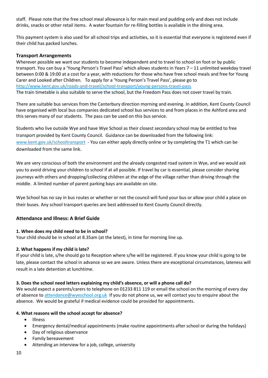staff. Please note that the free school meal allowance is for main meal and pudding only and does not include drinks, snacks or other retail items. A water fountain for re-filling bottles is available in the dining area.

This payment system is also used for all school trips and activities, so it is essential that everyone is registered even if their child has packed lunches.

#### **Transport Arrangements**

Wherever possible we want our students to become independent and to travel to school on foot or by public transport. You can buy a 'Young Person's Travel Pass' which allows students in Years 7 – 11 unlimited weekday travel between 0:00 & 19:00 at a cost for a year, with reductions for those who have free school meals and free for Young Carer and Looked after Children. To apply for a 'Young Person's Travel Pass', please go to <http://www.kent.gov.uk/roads-and-travel/school-transport/young-persons-travel-pass> The train timetable is also suitable to serve the school, but the Freedom Pass does not cover travel by train.

There are suitable bus services from the Canterbury direction morning and evening. In addition, Kent County Council have organised with local bus companies dedicated school bus services to and from places in the Ashford area and this serves many of our students. The pass can be used on this bus service.

Students who live outside Wye and have Wye School as their closest secondary school may be entitled to free transport provided by Kent County Council. Guidance can be downloaded from the following link: [www.kent.gov.uk/schooltransport](http://www.kent.gov.uk/schooltransport) - You can either apply directly online or by completing the T1 which can be downloaded from the same link.

We are very conscious of both the environment and the already congested road system in Wye, and we would ask you to avoid driving your children to school if at all possible. If travel by car is essential, please consider sharing journeys with others and dropping/collecting children at the edge of the village rather than driving through the middle. A limited number of parent parking bays are available on site.

Wye School has no say in bus routes or whether or not the council will fund your bus or allow your child a place on their buses. Any school transport queries are best addressed to Kent County Council directly.

## **Attendance and Illness: A Brief Guide**

#### **1. When does my child need to be in school?**

Your child should be in school at 8.35am (at the latest), in time for morning line up.

#### **2. What happens if my child is late?**

If your child is late, s/he should go to Reception where s/he will be registered. If you know your child is going to be late, please contact the school in advance so we are aware. Unless there are exceptional circumstances, lateness will result in a late detention at lunchtime.

#### **3. Does the school need letters explaining my child's absence, or will a phone call do?**

We would expect a parents/carers to telephone on 01233 811 119 or email the school on the morning of every day of absence to [attendance@wyeschool.org.uk](mailto:attendance@wyeschool.org.uk) If you do not phone us, we will contact you to enquire about the absence. We would be grateful if medical evidence could be provided for appointments.

#### **4. What reasons will the school accept for absence?**

- Illness
- Emergency dental/medical appointments (make routine appointments after school or during the holidays)
- Day of religious observance
- Family bereavement
- Attending an interview for a job, college, university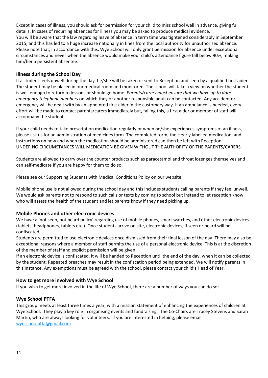Except in cases of illness, you should ask for permission for your child to miss school well in advance, giving full details. In cases of recurring absences for illness you may be asked to produce medical evidence. You will be aware that the law regarding leave of absence in term time was tightened considerably in September 2015, and this has led to a huge increase nationally in fines from the local authority for unauthorised absence. Please note that, in accordance with this, Wye School will only grant permission for absence under exceptional circumstances and never when the absence would make your child's attendance figure fall below 90%, making him/her a persistent absentee.

# **Illness during the School Day**

If a student feels unwell during the day, he/she will be taken or sent to Reception and seen by a qualified first aider. The student may be placed in our medical room and monitored. The school will take a view on whether the student is well enough to return to lessons or should go home. *Parents/carers must ensure that we have up to date emergency telephone numbers* on which they or another responsible adult can be contacted. Any accident or emergency will be dealt with by an appointed first aider in the customary way. If an ambulance is needed, every effort will be made to contact parents/carers immediately but, failing this, a first aider or member of staff will accompany the student.

If your child needs to take prescription medication regularly or when he/she experiences symptoms of an illness, please ask us for an administration of medicines form. The completed form, the clearly labelled medication, and instructions on how and when the medication should be administered can then be left with Reception. UNDER NO CIRCUMSTANCES WILL MEDICATION BE GIVEN WITHOUT THE AUTHORITY OF THE PARENTS/CARERS.

Students are allowed to carry over the counter products such as paracetamol and throat lozenges themselves and can self-medicate if you are happy for them to do so.

Please see our Supporting Students with Medical Conditions Policy on our website.

Mobile phone use is not allowed during the school day and this includes students calling parents if they feel unwell. We would ask parents not to respond to such calls or texts by coming to school but instead to let reception know who will assess the health of the student and let parents know if they need picking up.

## **Mobile Phones and other electronic devices**

We have a 'not seen, not heard policy' regarding use of mobile phones, smart watches, and other electronic devices (tablets, headphones, tablets etc.). Once students arrive on site, electronic devices, if seen or heard will be confiscated.

Students are permitted to use electronic devices once dismissed from their final lesson of the day. There may also be exceptional reasons where a member of staff permits the use of a personal electronic device. This is at the discretion of the member of staff and explicit permission will be given.

If an electronic device is confiscated, it will be handed to Reception until the end of the day, when it can be collected by the student. Repeated breaches may result in the confiscation period being extended. We will notify parents in this instance. Any exemptions must be agreed with the school, please contact your child's Head of Year.

## **How to get more involved with Wye School**

If you wish to get more involved in the life of Wye School, there are a number of ways you can do so:

## **Wye School PTFA**

This group meets at least three times a year, with a mission statement of enhancing the experiences of children at Wye School. They play a key role in organising events and fundraising. The Co-Chairs are Tracey Stevens and Sarah Martin, who are always looking for volunteers. If you are interested in helping, please email [wyeschoolptfa@gmail.com](mailto:wyeschoolptfa@gmail.com)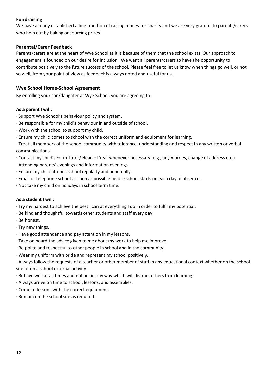# **Fundraising**

We have already established a fine tradition of raising money for charity and we are very grateful to parents/carers who help out by baking or sourcing prizes.

# **Parental/Carer Feedback**

Parents/carers are at the heart of Wye School as it is because of them that the school exists. Our approach to engagement is founded on our desire for inclusion. We want all parents/carers to have the opportunity to contribute positively to the future success of the school. Please feel free to let us know when things go well, or not so well, from your point of view as feedback is always noted and useful for us.

# **Wye School Home-School Agreement**

By enrolling your son/daughter at Wye School, you are agreeing to:

## **As a parent I will:**

- · Support Wye School's behaviour policy and system.
- · Be responsible for my child's behaviour in and outside of school.
- · Work with the school to support my child.
- · Ensure my child comes to school with the correct uniform and equipment for learning.

· Treat all members of the school community with tolerance, understanding and respect in any written or verbal communications.

- · Contact my child's Form Tutor/ Head of Year whenever necessary (e.g., any worries, change of address etc.).
- · Attending parents' evenings and information evenings.
- · Ensure my child attends school regularly and punctually.
- · Email or telephone school as soon as possible before school starts on each day of absence.
- · Not take my child on holidays in school term time.

#### **As a student I will:**

- · Try my hardest to achieve the best I can at everything I do in order to fulfil my potential.
- · Be kind and thoughtful towards other students and staff every day.
- · Be honest.
- · Try new things.
- · Have good attendance and pay attention in my lessons.
- · Take on board the advice given to me about my work to help me improve.
- · Be polite and respectful to other people in school and in the community.
- · Wear my uniform with pride and represent my school positively.

· Always follow the requests of a teacher or other member of staff in any educational context whether on the school site or on a school external activity.

- · Behave well at all times and not act in any way which will distract others from learning.
- · Always arrive on time to school, lessons, and assemblies.
- · Come to lessons with the correct equipment.
- · Remain on the school site as required.